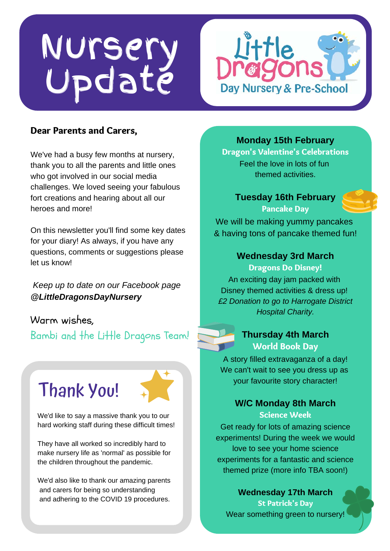# Nursery Update



#### Dear Parents and Carers,

We've had a busy few months at nursery, thank you to all the parents and little ones who got involved in our social media challenges. We loved seeing your fabulous fort creations and hearing about all our heroes and more!

On this newsletter you'll find some key dates for your diary! As always, if you have any questions, comments or suggestions please let us know!

*Keep up to date on our Facebook page @LittleDragonsDayNursery*

Warm wishes, Bambi and the Little Dragons Team!

## Thank You!

We'd like to say a massive thank you to our hard working staff during these difficult times!

They have all worked so incredibly hard to make nursery life as 'normal' as possible for the children throughout the pandemic.

We'd also like to thank our amazing parents and carers for being so understanding and adhering to the COVID 19 procedures.

**Monday 15th February**

Dragon's Valentine's Celebrations Feel the love in lots of fun themed activities.

**Tuesday 16th February** Pancake Day

We will be making yummy pancakes & having tons of pancake themed fun!

#### **Wednesday 3rd March**

Dragons Do Disney!

An exciting day jam packed with Disney themed activities & dress up! *£2 Donation to go to Harrogate District Hospital Charity.*



#### **Thursday 4th March** World Book Day

A story filled extravaganza of a day! We can't wait to see you dress up as your favourite story character!

### **W/C Monday 8th March**

#### Science Week

Get ready for lots of amazing science experiments! During the week we would love to see your home science experiments for a fantastic and science themed prize (more info TBA soon!)

**Wednesday 17th March** St Patrick's Day Wear something green to nursery!